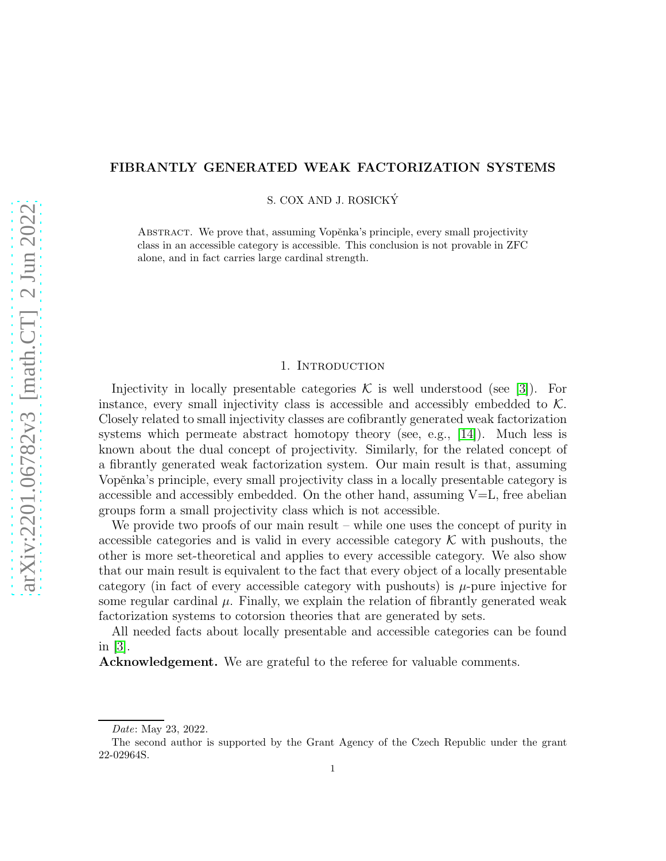# FIBRANTLY GENERATED WEAK FACTORIZATION SYSTEMS

S. COX AND J. ROSICKY´

ABSTRACT. We prove that, assuming Vopěnka's principle, every small projectivity class in an accessible category is accessible. This conclusion is not provable in ZFC alone, and in fact carries large cardinal strength.

### 1. INTRODUCTION

Injectivity in locally presentable categories  $\mathcal K$  is well understood (see [\[3\]](#page-9-0)). For instance, every small injectivity class is accessible and accessibly embedded to  $\mathcal K$ . Closely related to small injectivity classes are cofibrantly generated weak factorization systems which permeate abstract homotopy theory (see, e.g., [\[14\]](#page-10-0)). Much less is known about the dual concept of projectivity. Similarly, for the related concept of a fibrantly generated weak factorization system. Our main result is that, assuming Vopěnka's principle, every small projectivity class in a locally presentable category is accessible and accessibly embedded. On the other hand, assuming  $V=L$ , free abelian groups form a small projectivity class which is not accessible.

We provide two proofs of our main result – while one uses the concept of purity in accessible categories and is valid in every accessible category  $\mathcal K$  with pushouts, the other is more set-theoretical and applies to every accessible category. We also show that our main result is equivalent to the fact that every object of a locally presentable category (in fact of every accessible category with pushouts) is  $\mu$ -pure injective for some regular cardinal  $\mu$ . Finally, we explain the relation of fibrantly generated weak factorization systems to cotorsion theories that are generated by sets.

All needed facts about locally presentable and accessible categories can be found in [\[3\]](#page-9-0).

Acknowledgement. We are grateful to the referee for valuable comments.

Date: May 23, 2022.

The second author is supported by the Grant Agency of the Czech Republic under the grant 22-02964S.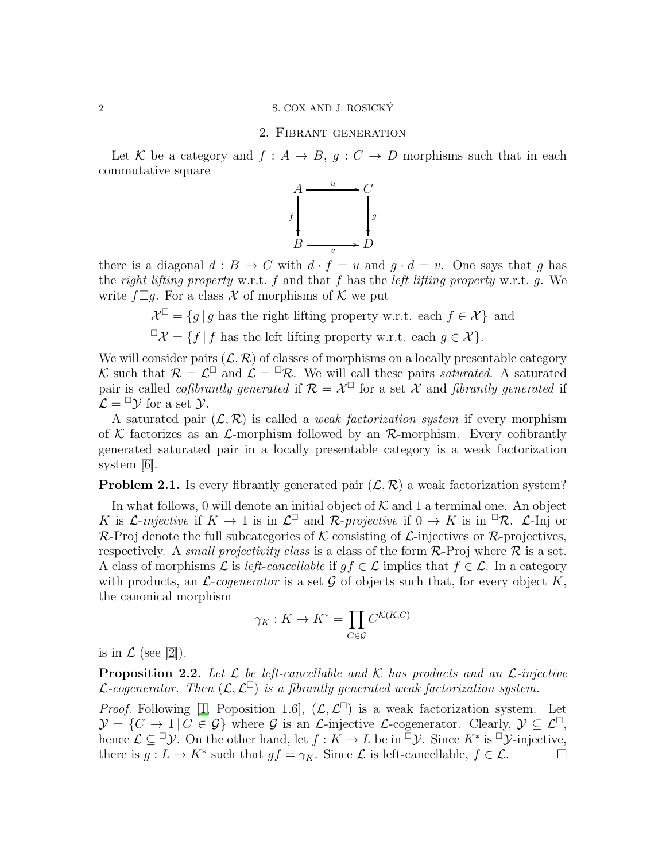### 2. Fibrant generation

Let K be a category and  $f : A \to B$ ,  $g : C \to D$  morphisms such that in each commutative square



there is a diagonal  $d : B \to C$  with  $d \cdot f = u$  and  $g \cdot d = v$ . One says that g has the right lifting property w.r.t.  $f$  and that  $f$  has the left lifting property w.r.t.  $g$ . We write  $f \Box g$ . For a class X of morphisms of K we put

> $\mathcal{X}^{\Box} = \{g \mid g \text{ has the right lifting property w.r.t. each } f \in \mathcal{X}\}\$ and  $\Box \mathcal{X} = \{f \mid f \text{ has the left lifting property w.r.t. each } g \in \mathcal{X}\}.$

We will consider pairs  $(\mathcal{L}, \mathcal{R})$  of classes of morphisms on a locally presentable category K such that  $\mathcal{R} = \mathcal{L}^{\square}$  and  $\mathcal{L} = {}^{\square} \mathcal{R}$ . We will call these pairs saturated. A saturated pair is called *cofibrantly generated* if  $\mathcal{R} = \mathcal{X}^{\square}$  for a set X and *fibrantly generated* if  $\mathcal{L} = \square \mathcal{Y}$  for a set  $\mathcal{Y}$ .

A saturated pair  $(\mathcal{L}, \mathcal{R})$  is called a *weak factorization system* if every morphism of K factorizes as an  $\mathcal{L}$ -morphism followed by an R-morphism. Every cofibrantly generated saturated pair in a locally presentable category is a weak factorization system [\[6\]](#page-9-1).

**Problem 2.1.** Is every fibrantly generated pair  $(\mathcal{L}, \mathcal{R})$  a weak factorization system?

In what follows, 0 will denote an initial object of  $K$  and 1 a terminal one. An object K is *L*-injective if  $K \to 1$  is in  $\mathcal{L}^{\square}$  and R-projective if  $0 \to K$  is in  ${}^{\square} \mathcal{R}$ .  $\mathcal{L}$ -Inj or  $\mathcal{R}$ -Proj denote the full subcategories of K consisting of L-injectives or R-projectives, respectively. A small projectivity class is a class of the form  $\mathcal{R}\text{-}\mathrm{Proj}$  where  $\mathcal R$  is a set. A class of morphisms L is left-cancellable if  $gf \in \mathcal{L}$  implies that  $f \in \mathcal{L}$ . In a category with products, an  $\mathcal{L}\text{-}cogenerator$  is a set  $\mathcal G$  of objects such that, for every object K, the canonical morphism

$$
\gamma_K:K\to K^*=\prod_{C\in\mathcal{G}}C^{\mathcal{K}(K,C)}
$$

is in  $\mathcal L$  (see [\[2\]](#page-9-2)).

<span id="page-1-0"></span>**Proposition 2.2.** Let  $\mathcal{L}$  be left-cancellable and  $\mathcal{K}$  has products and an  $\mathcal{L}$ -injective *L*-cogenerator. Then  $(L, L^{\square})$  is a fibrantly generated weak factorization system.

*Proof.* Following [\[1,](#page-9-3) Poposition 1.6],  $(L, L^{\square})$  is a weak factorization system. Let  $\mathcal{Y} = \{C \to 1 | C \in \mathcal{G}\}\$  where  $\mathcal{G}$  is an *L*-injective *L*-cogenerator. Clearly,  $\mathcal{Y} \subset \mathcal{L}^{\square}$ , hence  $\mathcal{L} \subseteq \mathbb{D} \mathcal{Y}$ . On the other hand, let  $f: K \to L$  be in  $\mathbb{D} \mathcal{Y}$ . Since  $K^*$  is  $\mathbb{D} \mathcal{Y}$ -injective, there is  $g: L \to K^*$  such that  $gf = \gamma_K$ . Since  $\mathcal L$  is left-cancellable,  $f \in \mathcal L$ .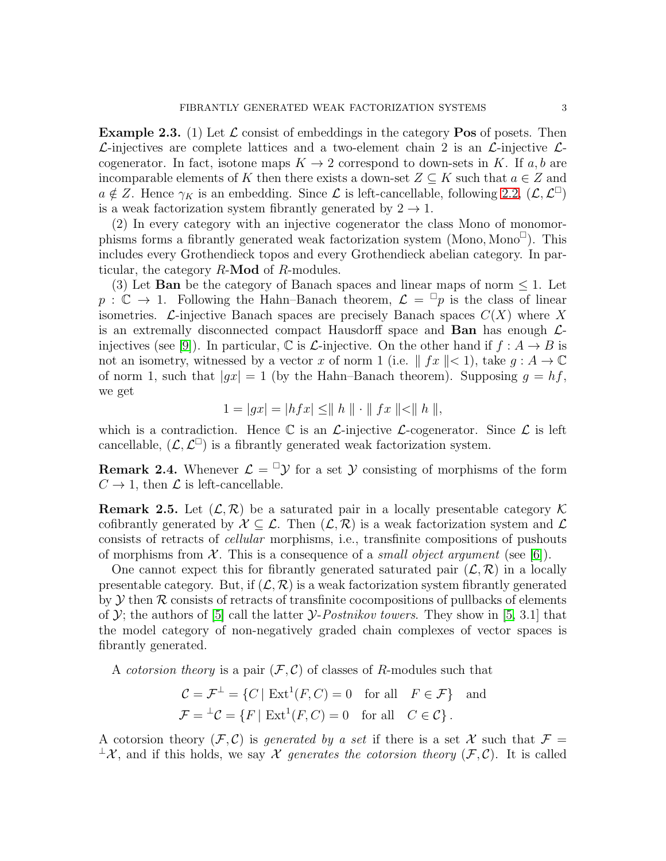<span id="page-2-0"></span>**Example 2.3.** (1) Let  $\mathcal{L}$  consist of embeddings in the category **Pos** of posets. Then  $\mathcal{L}$ -injectives are complete lattices and a two-element chain 2 is an  $\mathcal{L}$ -injective  $\mathcal{L}$ cogenerator. In fact, isotone maps  $K \to 2$  correspond to down-sets in K. If a, b are incomparable elements of K then there exists a down-set  $Z \subseteq K$  such that  $a \in Z$  and  $a \notin Z$ . Hence  $\gamma_K$  is an embedding. Since  $\mathcal L$  is left-cancellable, following [2.2,](#page-1-0)  $(\mathcal L, \mathcal L^{\square})$ is a weak factorization system fibrantly generated by  $2 \rightarrow 1$ .

(2) In every category with an injective cogenerator the class Mono of monomorphisms forms a fibrantly generated weak factorization system  $(Mono, mono^{\Box})$ . This includes every Grothendieck topos and every Grothendieck abelian category. In particular, the category  $R$ -**Mod** of  $R$ -modules.

(3) Let **Ban** be the category of Banach spaces and linear maps of norm  $\leq 1$ . Let  $p : \mathbb{C} \to 1$ . Following the Hahn–Banach theorem,  $\mathcal{L} = \mathbb{F}_p$  is the class of linear isometries.  $\mathcal{L}$ -injective Banach spaces are precisely Banach spaces  $C(X)$  where X is an extremally disconnected compact Hausdorff space and **Ban** has enough  $\mathcal{L}$ -injectives (see [\[9\]](#page-9-4)). In particular,  $\mathbb C$  is  $\mathcal L$ -injective. On the other hand if  $f : A \to B$  is not an isometry, witnessed by a vector x of norm 1 (i.e.  $|| f x || < 1$ ), take  $g : A \to \mathbb{C}$ of norm 1, such that  $|gx| = 1$  (by the Hahn–Banach theorem). Supposing  $g = hf$ , we get

$$
1 = |gx| = |hfx| \le ||h|| \cdot ||fx|| < ||h||,
$$

which is a contradiction. Hence  $\mathbb C$  is an  $\mathcal L$ -injective  $\mathcal L$ -cogenerator. Since  $\mathcal L$  is left cancellable,  $(\mathcal{L}, \mathcal{L}^{\square})$  is a fibrantly generated weak factorization system.

**Remark 2.4.** Whenever  $\mathcal{L} = \mathbb{I} \mathcal{Y}$  for a set Y consisting of morphisms of the form  $C \rightarrow 1$ , then  $\mathcal L$  is left-cancellable.

**Remark 2.5.** Let  $(\mathcal{L}, \mathcal{R})$  be a saturated pair in a locally presentable category K cofibrantly generated by  $\mathcal{X} \subseteq \mathcal{L}$ . Then  $(\mathcal{L}, \mathcal{R})$  is a weak factorization system and  $\mathcal{L}$ consists of retracts of cellular morphisms, i.e., transfinite compositions of pushouts of morphisms from  $\mathcal X$ . This is a consequence of a *small object argument* (see [\[6\]](#page-9-1)).

One cannot expect this for fibrantly generated saturated pair  $(\mathcal{L}, \mathcal{R})$  in a locally presentable category. But, if  $(\mathcal{L}, \mathcal{R})$  is a weak factorization system fibrantly generated by  $Y$  then  $R$  consists of retracts of transfinite cocompositions of pullbacks of elements of  $\mathcal{Y}$ ; the authors of [\[5\]](#page-9-5) call the latter  $\mathcal{Y}$ -Postnikov towers. They show in [\[5,](#page-9-5) 3.1] that the model category of non-negatively graded chain complexes of vector spaces is fibrantly generated.

A *cotorsion theory* is a pair  $(\mathcal{F}, \mathcal{C})$  of classes of R-modules such that

$$
\mathcal{C} = \mathcal{F}^{\perp} = \{C \mid \text{Ext}^{1}(F, C) = 0 \text{ for all } F \in \mathcal{F}\} \text{ and}
$$

$$
\mathcal{F} = {}^{\perp}\mathcal{C} = \{F \mid \text{Ext}^{1}(F, C) = 0 \text{ for all } C \in \mathcal{C}\}.
$$

A cotorsion theory  $(F, C)$  is *generated by a set* if there is a set X such that  $F =$  $\perp$ X, and if this holds, we say X generates the cotorsion theory  $(\mathcal{F}, \mathcal{C})$ . It is called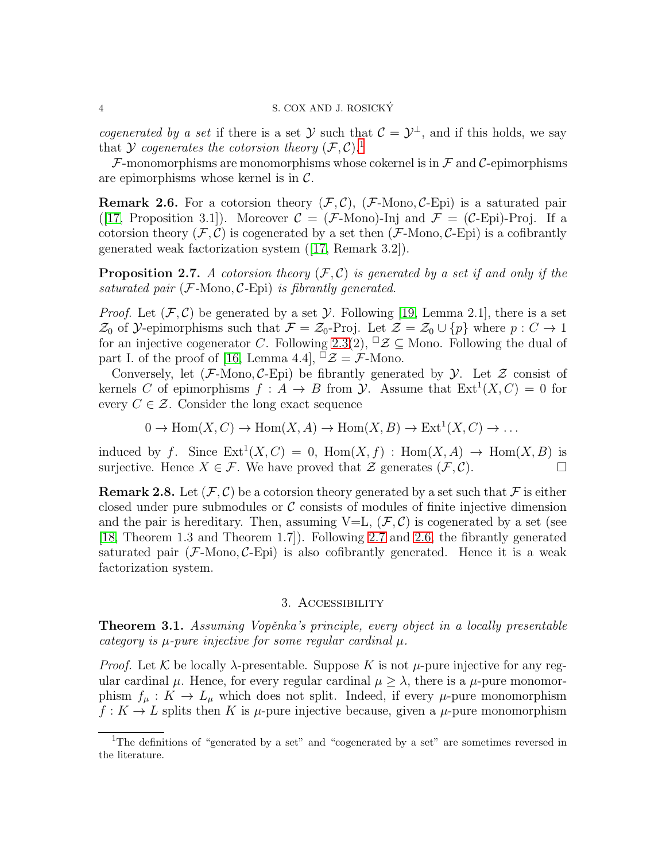*cogenerated by a set* if there is a set  $\mathcal{Y}$  such that  $\mathcal{C} = \mathcal{Y}^{\perp}$ , and if this holds, we say that Y cogenerates the cotorsion theory  $(\mathcal{F}, \mathcal{C})$ .<sup>[1](#page-3-0)</sup>

 $\mathcal F$ -monomorphisms are monomorphisms whose cokernel is in  $\mathcal F$  and  $\mathcal C$ -epimorphisms are epimorphisms whose kernel is in  $\mathcal{C}$ .

<span id="page-3-2"></span>**Remark 2.6.** For a cotorsion theory  $(\mathcal{F}, \mathcal{C})$ ,  $(\mathcal{F}\text{-}\mathrm{Mono}, \mathcal{C}\text{-}\mathrm{Epi})$  is a saturated pair ([\[17,](#page-10-1) Proposition 3.1]). Moreover  $\mathcal{C} = (\mathcal{F}\text{-}\mathrm{Mono})$ -Inj and  $\mathcal{F} = (\mathcal{C}\text{-}\mathrm{Epi})$ -Proj. If a cotorsion theory  $(\mathcal{F}, \mathcal{C})$  is cogenerated by a set then  $(\mathcal{F}\text{-}\mathrm{Mono}, \mathcal{C}\text{-}\mathrm{Epi})$  is a cofibrantly generated weak factorization system ([\[17,](#page-10-1) Remark 3.2]).

<span id="page-3-1"></span>**Proposition 2.7.** A cotorsion theory  $(F, C)$  is generated by a set if and only if the saturated pair  $(F\text{-}\mathrm{Mono}, \mathcal{C}\text{-}\mathrm{Epi})$  is fibrantly generated.

*Proof.* Let  $(\mathcal{F}, \mathcal{C})$  be generated by a set  $\mathcal{Y}$ . Following [\[19,](#page-10-2) Lemma 2.1], there is a set  $\mathcal{Z}_0$  of  $\mathcal{Y}$ -epimorphisms such that  $\mathcal{F} = \mathcal{Z}_0$ -Proj. Let  $\mathcal{Z} = \mathcal{Z}_0 \cup \{p\}$  where  $p : C \to 1$ for an injective cogenerator C. Following [2.3\(](#page-2-0)2),  $\Box \mathcal{Z} \subseteq$  Mono. Following the dual of part I. of the proof of [\[16,](#page-10-3) Lemma 4.4],  $\overline{\mathscr{Z}} = \mathscr{F}$ -Mono.

Conversely, let  $(\mathcal{F}\text{-}\mathrm{Mono}, \mathcal{C}\text{-}\mathrm{Epi})$  be fibrantly generated by  $\mathcal{Y}$ . Let  $\mathcal{Z}$  consist of kernels C of epimorphisms  $f: A \to B$  from  $\mathcal Y$ . Assume that  $Ext<sup>1</sup>(X, C) = 0$  for every  $C \in \mathcal{Z}$ . Consider the long exact sequence

$$
0 \to \text{Hom}(X, C) \to \text{Hom}(X, A) \to \text{Hom}(X, B) \to \text{Ext}^1(X, C) \to \dots
$$

induced by f. Since  $Ext^1(X, C) = 0$ ,  $Hom(X, f) : Hom(X, A) \to Hom(X, B)$  is surjective. Hence  $X \in \mathcal{F}$ . We have proved that  $\mathcal{Z}$  generates  $(\mathcal{F}, \mathcal{C})$ .

**Remark 2.8.** Let  $(\mathcal{F}, \mathcal{C})$  be a cotorsion theory generated by a set such that  $\mathcal{F}$  is either closed under pure submodules or  $\mathcal C$  consists of modules of finite injective dimension and the pair is hereditary. Then, assuming  $V=L$ ,  $(\mathcal{F}, \mathcal{C})$  is cogenerated by a set (see [\[18,](#page-10-4) Theorem 1.3 and Theorem 1.7]). Following [2.7](#page-3-1) and [2.6,](#page-3-2) the fibrantly generated saturated pair  $(F\text{-Mono}, \mathcal{C}\text{-Epi})$  is also cofibrantly generated. Hence it is a weak factorization system.

## 3. Accessibility

<span id="page-3-3"></span>**Theorem 3.1.** Assuming Vopěnka's principle, every object in a locally presentable category is  $\mu$ -pure injective for some regular cardinal  $\mu$ .

*Proof.* Let K be locally  $\lambda$ -presentable. Suppose K is not  $\mu$ -pure injective for any regular cardinal  $\mu$ . Hence, for every regular cardinal  $\mu \geq \lambda$ , there is a  $\mu$ -pure monomorphism  $f_\mu: K \to L_\mu$  which does not split. Indeed, if every  $\mu$ -pure monomorphism  $f: K \to L$  splits then K is  $\mu$ -pure injective because, given a  $\mu$ -pure monomorphism

<span id="page-3-0"></span><sup>1</sup>The definitions of "generated by a set" and "cogenerated by a set" are sometimes reversed in the literature.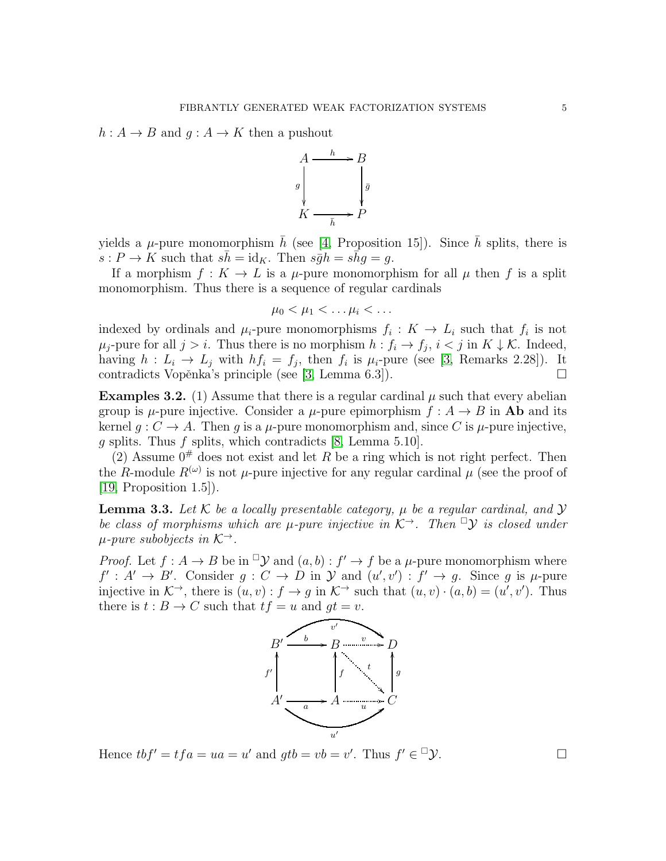$h: A \to B$  and  $g: A \to K$  then a pushout



yields a  $\mu$ -pure monomorphism h (see [\[4,](#page-9-6) Proposition 15]). Since h splits, there is  $s: P \to K$  such that  $s\bar{h} = id_K$ . Then  $s\bar{g}h = s\bar{h}g = g$ .

If a morphism  $f: K \to L$  is a  $\mu$ -pure monomorphism for all  $\mu$  then f is a split monomorphism. Thus there is a sequence of regular cardinals

$$
\mu_0 < \mu_1 < \ldots \mu_i < \ldots
$$

indexed by ordinals and  $\mu_i$ -pure monomorphisms  $f_i: K \to L_i$  such that  $f_i$  is not  $\mu_j$ -pure for all  $j > i$ . Thus there is no morphism  $h : f_i \to f_j$ ,  $i < j$  in  $K \downarrow \mathcal{K}$ . Indeed, having  $h: L_i \to L_j$  with  $hf_i = f_j$ , then  $f_i$  is  $\mu_i$ -pure (see [\[3,](#page-9-0) Remarks 2.28]). It contradicts Vopěnka's principle (see [\[3,](#page-9-0) Lemma 6.3]).

<span id="page-4-1"></span>**Examples 3.2.** (1) Assume that there is a regular cardinal  $\mu$  such that every abelian group is  $\mu$ -pure injective. Consider a  $\mu$ -pure epimorphism  $f : A \rightarrow B$  in **Ab** and its kernel  $g: C \to A$ . Then g is a  $\mu$ -pure monomorphism and, since C is  $\mu$ -pure injective, g splits. Thus f splits, which contradicts  $[8, \text{Lemma } 5.10].$ 

(2) Assume  $0^{\#}$  does not exist and let R be a ring which is not right perfect. Then the R-module  $R^{(\omega)}$  is not  $\mu$ -pure injective for any regular cardinal  $\mu$  (see the proof of [\[19,](#page-10-2) Proposition 1.5]).

<span id="page-4-0"></span>**Lemma 3.3.** Let K be a locally presentable category,  $\mu$  be a regular cardinal, and  $\mathcal{Y}$ be class of morphisms which are  $\mu$ -pure injective in  $\mathcal{K}^{\rightarrow}$ . Then  $\Box$ *y* is closed under  $\mu$ -pure subobjects in  $\mathcal{K}^{\rightarrow}$ .

*Proof.* Let  $f : A \to B$  be in  $\supseteq Y$  and  $(a, b) : f' \to f$  be a  $\mu$ -pure monomorphism where  $f': A' \to B'$ . Consider  $g: C \to D$  in  $\mathcal Y$  and  $(u', v') : f' \to g$ . Since g is  $\mu$ -pure injective in  $K^{\rightarrow}$ , there is  $(u, v) : f \rightarrow g$  in  $K^{\rightarrow}$  such that  $(u, v) \cdot (a, b) = (u', v')$ . Thus there is  $t : B \to C$  such that  $tf = u$  and  $gt = v$ .



Hence  $tbf' = tfa = ua = u'$  and  $gtb = vb = v'$ . Thus  $f' \in \mathcal{Y}$ .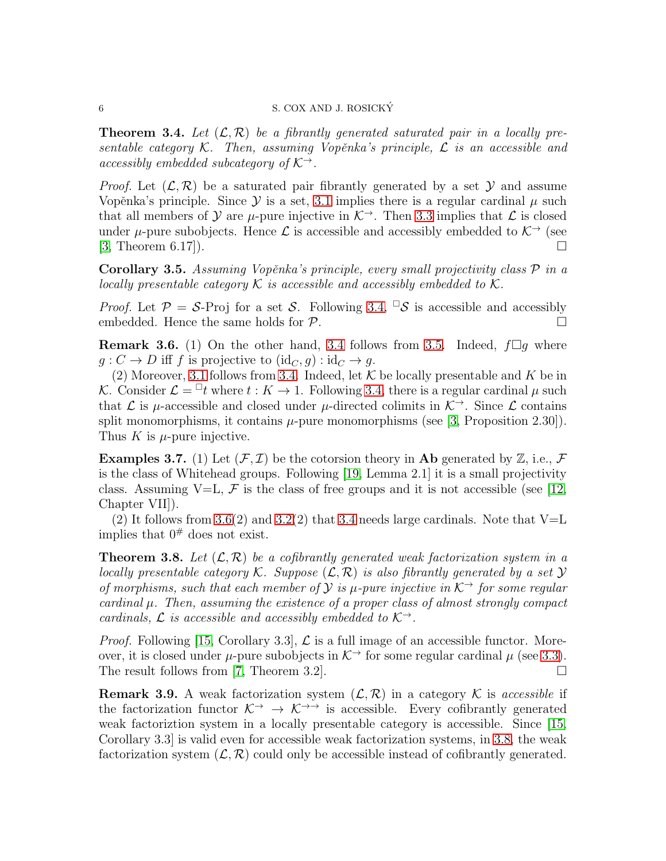<span id="page-5-0"></span>**Theorem 3.4.** Let  $(\mathcal{L}, \mathcal{R})$  be a fibrantly generated saturated pair in a locally presentable category  $K$ . Then, assuming Vopěnka's principle,  $\mathcal L$  is an accessible and accessibly embedded subcategory of  $K^{\rightarrow}$ .

*Proof.* Let  $(\mathcal{L}, \mathcal{R})$  be a saturated pair fibrantly generated by a set Y and assume Vopěnka's principle. Since  $\mathcal Y$  is a set, [3.1](#page-3-3) implies there is a regular cardinal  $\mu$  such that all members of Y are  $\mu$ -pure injective in  $\mathcal{K}^{\rightarrow}$ . Then [3.3](#page-4-0) implies that  $\mathcal{L}$  is closed under  $\mu$ -pure subobjects. Hence  $\mathcal L$  is accessible and accessibly embedded to  $\mathcal K^{\rightarrow}$  (see  $[3,$  Theorem 6.17]).

<span id="page-5-1"></span>Corollary 3.5. Assuming Vopěnka's principle, every small projectivity class  $P$  in a locally presentable category  $\mathcal K$  is accessible and accessibly embedded to  $\mathcal K$ .

*Proof.* Let  $\mathcal{P} = \mathcal{S}$ -Proj for a set  $\mathcal{S}$ . Following [3.4,](#page-5-0)  $\Box \mathcal{S}$  is accessible and accessibly embedded. Hence the same holds for  $P$ .

<span id="page-5-2"></span>**Remark 3.6.** (1) On the other hand, [3.4](#page-5-0) follows from [3.5.](#page-5-1) Indeed,  $f\Box g$  where  $g: C \to D$  iff f is projective to  $(id_C, g) : id_C \to g$ .

(2) Moreover, [3.1](#page-3-3) follows from [3.4.](#page-5-0) Indeed, let  $K$  be locally presentable and K be in K. Consider  $\mathcal{L} = \mathbb{I}t$  where  $t : K \to 1$ . Following [3](#page-5-0).4, there is a regular cardinal  $\mu$  such that  $\mathcal L$  is  $\mu$ -accessible and closed under  $\mu$ -directed colimits in  $\mathcal K^{\rightarrow}$ . Since  $\mathcal L$  contains split monomorphisms, it contains  $\mu$ -pure monomorphisms (see [\[3,](#page-9-0) Proposition 2.30]). Thus  $K$  is  $\mu$ -pure injective.

**Examples 3.7.** (1) Let  $(\mathcal{F}, \mathcal{I})$  be the cotorsion theory in **Ab** generated by  $\mathbb{Z}$ , i.e.,  $\mathcal{F}$ is the class of Whitehead groups. Following [\[19,](#page-10-2) Lemma 2.1] it is a small projectivity class. Assuming V=L,  $\mathcal F$  is the class of free groups and it is not accessible (see [\[12,](#page-9-8) Chapter VII]).

(2) It follows from [3.6\(](#page-5-2)2) and [3.2\(](#page-4-1)2) that [3.4](#page-5-0) needs large cardinals. Note that  $V=L$ implies that  $0^{\#}$  does not exist.

<span id="page-5-3"></span>**Theorem 3.8.** Let  $(\mathcal{L}, \mathcal{R})$  be a cofibrantly generated weak factorization system in a locally presentable category K. Suppose  $(\mathcal{L}, \mathcal{R})$  is also fibrantly generated by a set Y of morphisms, such that each member of  $\mathcal{Y}$  is  $\mu$ -pure injective in  $\mathcal{K}^{\rightarrow}$  for some regular cardinal  $\mu$ . Then, assuming the existence of a proper class of almost strongly compact cardinals,  $\mathcal L$  is accessible and accessibly embedded to  $\mathcal K^{\rightarrow}$ .

*Proof.* Following [\[15,](#page-10-5) Corollary 3.3],  $\mathcal{L}$  is a full image of an accessible functor. Moreover, it is closed under  $\mu$ -pure subobjects in  $\mathcal{K}^{\rightarrow}$  for some regular cardinal  $\mu$  (see [3.3\)](#page-4-0). The result follows from [\[7,](#page-9-9) Theorem 3.2].  $\square$ 

**Remark 3.9.** A weak factorization system  $(\mathcal{L}, \mathcal{R})$  in a category K is accessible if the factorization functor  $K^{\rightarrow} \rightarrow K^{\rightarrow}$  is accessible. Every cofibrantly generated weak factoriztion system in a locally presentable category is accessible. Since [\[15,](#page-10-5) Corollary 3.3] is valid even for accessible weak factorization systems, in [3.8,](#page-5-3) the weak factorization system  $(\mathcal{L}, \mathcal{R})$  could only be accessible instead of cofibrantly generated.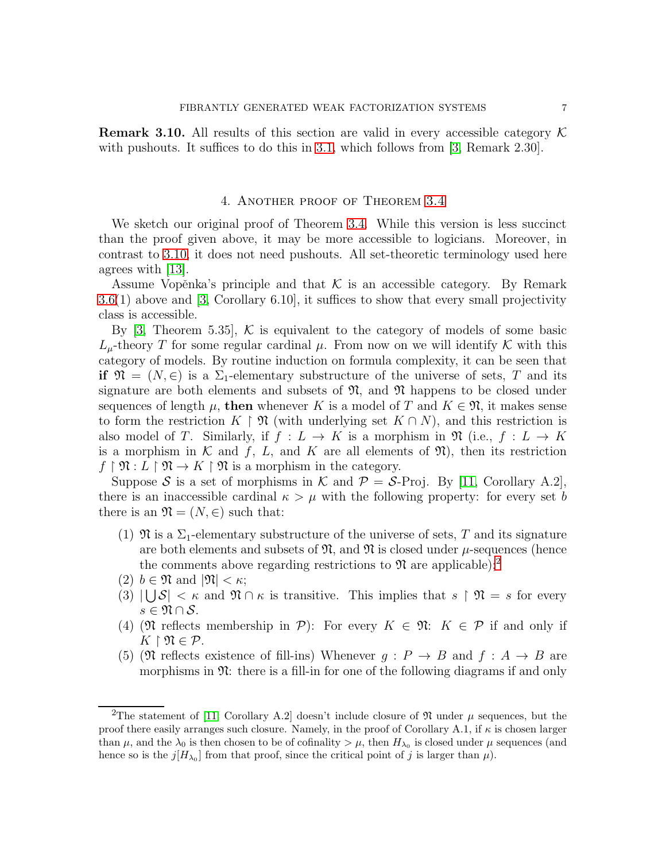<span id="page-6-0"></span>**Remark 3.10.** All results of this section are valid in every accessible category  $\mathcal{K}$ with pushouts. It suffices to do this in [3.1,](#page-3-3) which follows from [\[3,](#page-9-0) Remark 2.30].

## 4. Another proof of Theorem [3.4](#page-5-0)

We sketch our original proof of Theorem [3.4.](#page-5-0) While this version is less succinct than the proof given above, it may be more accessible to logicians. Moreover, in contrast to [3.10,](#page-6-0) it does not need pushouts. All set-theoretic terminology used here agrees with [\[13\]](#page-10-6).

Assume Vopěnka's principle and that  $K$  is an accessible category. By Remark [3.6\(](#page-5-2)1) above and [\[3,](#page-9-0) Corollary 6.10], it suffices to show that every small projectivity class is accessible.

By [\[3,](#page-9-0) Theorem 5.35],  $\mathcal{K}$  is equivalent to the category of models of some basic  $L_{\mu}$ -theory T for some regular cardinal  $\mu$ . From now on we will identify K with this category of models. By routine induction on formula complexity, it can be seen that if  $\mathfrak{N} = (N, \in)$  is a  $\Sigma_1$ -elementary substructure of the universe of sets, T and its signature are both elements and subsets of  $\mathfrak{N}$ , and  $\mathfrak{N}$  happens to be closed under sequences of length  $\mu$ , then whenever K is a model of T and  $K \in \mathfrak{N}$ , it makes sense to form the restriction  $K \upharpoonright \mathfrak{N}$  (with underlying set  $K \cap N$ ), and this restriction is also model of T. Similarly, if  $f: L \to K$  is a morphism in  $\mathfrak{N}$  (i.e.,  $f: L \to K$ is a morphism in  $K$  and  $f$ ,  $L$ , and  $K$  are all elements of  $\mathfrak{N}$ ), then its restriction  $f \restriction \mathfrak{N}: L \restriction \mathfrak{N} \to K \restriction \mathfrak{N}$  is a morphism in the category.

Suppose S is a set of morphisms in K and  $P = S$ -Proj. By [\[11,](#page-9-10) Corollary A.2], there is an inaccessible cardinal  $\kappa > \mu$  with the following property: for every set b there is an  $\mathfrak{N} = (N, \in)$  such that:

- (1)  $\mathfrak{N}$  is a  $\Sigma_1$ -elementary substructure of the universe of sets, T and its signature are both elements and subsets of  $\mathfrak{N}$ , and  $\mathfrak{N}$  is closed under  $\mu$ -sequences (hence the comments above regarding restrictions to  $\mathfrak{N}$  are applicable);<sup>[2](#page-6-1)</sup>
- <span id="page-6-3"></span>(2)  $b \in \mathfrak{N}$  and  $|\mathfrak{N}| < \kappa$ ;
- (3)  $|\bigcup \mathcal{S}| < \kappa$  and  $\mathfrak{N} \cap \kappa$  is transitive. This implies that  $s \upharpoonright \mathfrak{N} = s$  for every  $s \in \mathfrak{N} \cap \mathcal{S}$ .
- (4) ( $\mathfrak{N}$  reflects membership in  $\mathcal{P}$ ): For every  $K \in \mathfrak{N}$ :  $K \in \mathcal{P}$  if and only if  $K \restriction \mathfrak{N} \in \mathcal{P}$ .
- <span id="page-6-2"></span>(5) (I) reflects existence of fill-ins) Whenever  $q : P \to B$  and  $f : A \to B$  are morphisms in  $\mathfrak{N}$ : there is a fill-in for one of the following diagrams if and only

<span id="page-6-1"></span><sup>&</sup>lt;sup>2</sup>The statement of [\[11,](#page-9-10) Corollary A.2] doesn't include closure of  $\mathfrak N$  under  $\mu$  sequences, but the proof there easily arranges such closure. Namely, in the proof of Corollary A.1, if  $\kappa$  is chosen larger than  $\mu$ , and the  $\lambda_0$  is then chosen to be of cofinality  $>\mu$ , then  $H_{\lambda_0}$  is closed under  $\mu$  sequences (and hence so is the  $j[H_{\lambda_0}]$  from that proof, since the critical point of j is larger than  $\mu$ ).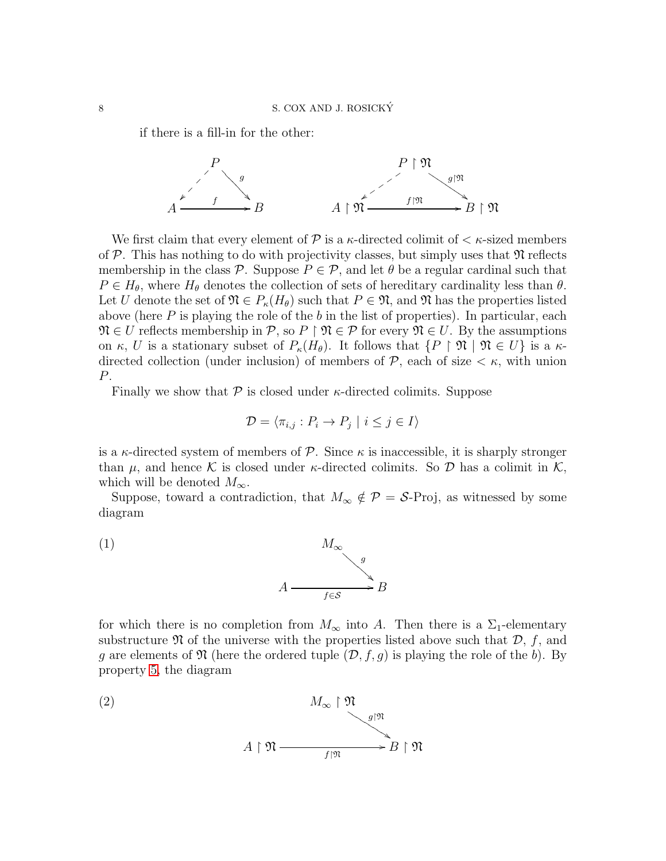if there is a fill-in for the other:



We first claim that every element of  $P$  is a  $\kappa$ -directed colimit of  $\lt \kappa$ -sized members of  $P$ . This has nothing to do with projectivity classes, but simply uses that  $\mathfrak{N}$  reflects membership in the class P. Suppose  $P \in \mathcal{P}$ , and let  $\theta$  be a regular cardinal such that  $P \in H_{\theta}$ , where  $H_{\theta}$  denotes the collection of sets of hereditary cardinality less than  $\theta$ . Let U denote the set of  $\mathfrak{N} \in P_{\kappa}(H_{\theta})$  such that  $P \in \mathfrak{N}$ , and  $\mathfrak{N}$  has the properties listed above (here  $P$  is playing the role of the  $b$  in the list of properties). In particular, each  $\mathfrak{N} \in U$  reflects membership in  $\mathcal{P}$ , so  $P \upharpoonright \mathfrak{N} \in \mathcal{P}$  for every  $\mathfrak{N} \in U$ . By the assumptions on  $\kappa$ , U is a stationary subset of  $P_{\kappa}(H_{\theta})$ . It follows that  $\{P \restriction \mathfrak{N} \mid \mathfrak{N} \in U\}$  is a  $\kappa$ directed collection (under inclusion) of members of  $P$ , each of size  $\lt \kappa$ , with union P.

Finally we show that  $P$  is closed under  $\kappa$ -directed colimits. Suppose

$$
\mathcal{D} = \langle \pi_{i,j} : P_i \to P_j \mid i \le j \in I \rangle
$$

is a  $\kappa$ -directed system of members of  $\mathcal P$ . Since  $\kappa$  is inaccessible, it is sharply stronger than  $\mu$ , and hence K is closed under  $\kappa$ -directed colimits. So D has a colimit in K, which will be denoted  $M_{\infty}$ .

Suppose, toward a contradiction, that  $M_{\infty} \notin \mathcal{P} = \mathcal{S}$ -Proj, as witnessed by some diagram



for which there is no completion from  $M_{\infty}$  into A. Then there is a  $\Sigma_1$ -elementary substructure  $\mathfrak N$  of the universe with the properties listed above such that  $\mathcal D$ , f, and g are elements of  $\mathfrak N$  (here the ordered tuple  $(\mathcal D, f, g)$  is playing the role of the b). By property [5,](#page-6-2) the diagram

<span id="page-7-0"></span>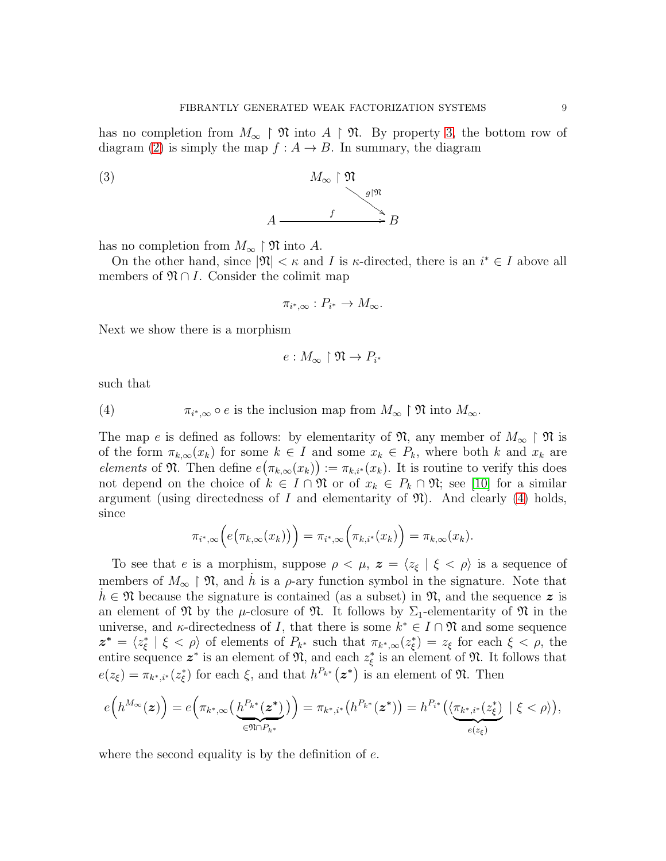has no completion from  $M_{\infty} \restriction \mathfrak{N}$  into  $A \restriction \mathfrak{N}$ . By property [3,](#page-6-3) the bottom row of diagram [\(2\)](#page-7-0) is simply the map  $f : A \to B$ . In summary, the diagram



has no completion from  $M_{\infty} \restriction \mathfrak{N}$  into A.

On the other hand, since  $|\mathfrak{N}| < \kappa$  and I is  $\kappa$ -directed, there is an  $i^* \in I$  above all members of  $\mathfrak{N} \cap I$ . Consider the colimit map

<span id="page-8-1"></span>
$$
\pi_{i^*,\infty}: P_{i^*} \to M_\infty.
$$

Next we show there is a morphism

$$
e:M_\infty\restriction \mathfrak{N}\to P_{i^*}
$$

such that

<span id="page-8-0"></span>(4) 
$$
\pi_{i^*,\infty} \circ e \text{ is the inclusion map from } M_\infty \upharpoonright \mathfrak{N} \text{ into } M_\infty.
$$

The map e is defined as follows: by elementarity of  $\mathfrak{N}$ , any member of  $M_{\infty} \restriction \mathfrak{N}$  is of the form  $\pi_{k,\infty}(x_k)$  for some  $k \in I$  and some  $x_k \in P_k$ , where both k and  $x_k$  are elements of  $\mathfrak{N}$ . Then define  $e(\pi_{k,\infty}(x_k)) := \pi_{k,i^*}(x_k)$ . It is routine to verify this does not depend on the choice of  $k \in I \cap \mathfrak{N}$  or of  $x_k \in P_k \cap \mathfrak{N}$ ; see [\[10\]](#page-9-11) for a similar argument (using directedness of I and elementarity of  $\mathfrak{N}$ ). And clearly [\(4\)](#page-8-0) holds, since

$$
\pi_{i^*,\infty}\Big(e\big(\pi_{k,\infty}(x_k)\big)\Big)=\pi_{i^*,\infty}\Big(\pi_{k,i^*}(x_k)\Big)=\pi_{k,\infty}(x_k).
$$

To see that e is a morphism, suppose  $\rho < \mu$ ,  $z = \langle z_{\xi} | \xi < \rho \rangle$  is a sequence of members of  $M_{\infty} \restriction \mathfrak{N}$ , and  $\dot{h}$  is a  $\rho$ -ary function symbol in the signature. Note that  $h \in \mathfrak{N}$  because the signature is contained (as a subset) in  $\mathfrak{N}$ , and the sequence z is an element of  $\mathfrak{N}$  by the  $\mu$ -closure of  $\mathfrak{N}$ . It follows by  $\Sigma_1$ -elementarity of  $\mathfrak{N}$  in the universe, and  $\kappa$ -directedness of I, that there is some  $k^* \in I \cap \mathfrak{N}$  and some sequence  $\bm{z^*} = \langle z^*_\varepsilon$  $\zeta$  |  $\xi < \rho$  of elements of  $P_{k^*}$  such that  $\pi_{k^*,\infty}(z_{\xi}^*)$  $(\xi) = z_{\xi}$  for each  $\xi < \rho$ , the entire sequence  $z^*$  is an element of  $\mathfrak{N}$ , and each  $z_{\varepsilon}^*$  $\frac{1}{\xi}$  is an element of  $\mathfrak{N}$ . It follows that  $e(z_{\xi}) = \pi_{k^*,i^*}(z_{\xi}^*)$ <sup>\*</sup>/<sub>ξ</sub>) for each  $\xi$ , and that  $h^{P_{k^*}}(z^*)$  is an element of  $\mathfrak{N}$ . Then

$$
e\Big(h^{M_\infty}(\boldsymbol{z})\Big)=e\Big(\pi_{k^*,\infty}\big(\underbrace{h^{P_{k^*}}(\boldsymbol{z}^*)}_{\in\mathfrak{N}\cap P_{k^*}}\big)\Big)=\pi_{k^*,i^*}\big(h^{P_{k^*}}(\boldsymbol{z}^*)\big)=h^{P_{i^*}}\big(\langle\underbrace{\pi_{k^*,i^*}(z^*_{\xi})}_{e(z_{\xi})}\mid \xi<\rho\rangle\big),
$$

where the second equality is by the definition of  $e$ .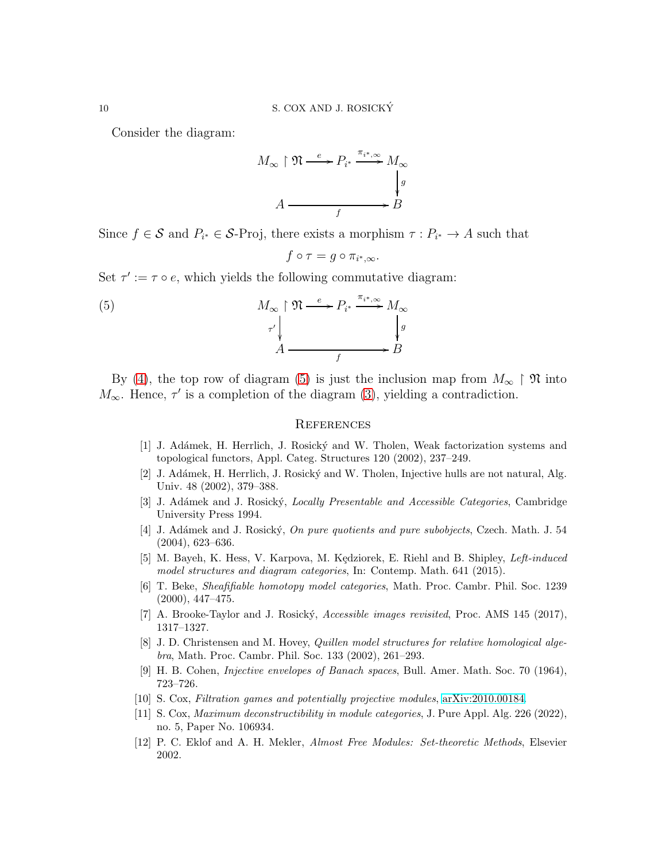Consider the diagram:

$$
M_{\infty} \upharpoonright \mathfrak{N} \xrightarrow{e} P_{i^*} \xrightarrow{\pi_{i^*}, \infty} M_{\infty}
$$
\n
$$
A \xrightarrow{f} B
$$

Since  $f \in \mathcal{S}$  and  $P_{i^*} \in \mathcal{S}$ -Proj, there exists a morphism  $\tau : P_{i^*} \to A$  such that

<span id="page-9-12"></span>
$$
f\circ\tau=g\circ\pi_{i^*,\infty}.
$$

Set  $\tau' := \tau \circ e$ , which yields the following commutative diagram:

(5) 
$$
M_{\infty} \upharpoonright \mathfrak{N} \xrightarrow{e} P_{i^*} \xrightarrow{\pi_{i^*}, \infty} M_{\infty}
$$

$$
\uparrow \downarrow \qquad \qquad \downarrow g
$$

$$
A \xrightarrow{f} B
$$

By [\(4\)](#page-8-0), the top row of diagram [\(5\)](#page-9-12) is just the inclusion map from  $M_{\infty} \restriction \mathfrak{N}$  into  $M_{\infty}$ . Hence,  $\tau'$  is a completion of the diagram [\(3\)](#page-8-1), yielding a contradiction.

## **REFERENCES**

- <span id="page-9-3"></span>[1] J. Adámek, H. Herrlich, J. Rosický and W. Tholen, Weak factorization systems and topological functors, Appl. Categ. Structures 120 (2002), 237–249.
- <span id="page-9-2"></span>[2] J. Adámek, H. Herrlich, J. Rosický and W. Tholen, Injective hulls are not natural, Alg. Univ. 48 (2002), 379–388.
- <span id="page-9-0"></span>[3] J. Adámek and J. Rosický, *Locally Presentable and Accessible Categories*, Cambridge University Press 1994.
- <span id="page-9-6"></span>[4] J. Adámek and J. Rosický, On pure quotients and pure subobjects, Czech. Math. J. 54 (2004), 623–636.
- <span id="page-9-5"></span>[5] M. Bayeh, K. Hess, V. Karpova, M. Kędziorek, E. Riehl and B. Shipley, Left-induced model structures and diagram categories, In: Contemp. Math. 641 (2015).
- <span id="page-9-1"></span>[6] T. Beke, Sheafifiable homotopy model categories, Math. Proc. Cambr. Phil. Soc. 1239 (2000), 447–475.
- <span id="page-9-9"></span>[7] A. Brooke-Taylor and J. Rosický, *Accessible images revisited*, Proc. AMS 145 (2017), 1317–1327.
- <span id="page-9-7"></span>[8] J. D. Christensen and M. Hovey, Quillen model structures for relative homological algebra, Math. Proc. Cambr. Phil. Soc. 133 (2002), 261–293.
- <span id="page-9-4"></span>[9] H. B. Cohen, Injective envelopes of Banach spaces, Bull. Amer. Math. Soc. 70 (1964), 723–726.
- <span id="page-9-11"></span><span id="page-9-10"></span>[10] S. Cox, Filtration games and potentially projective modules, [arXiv:2010.00184.](http://arxiv.org/abs/2010.00184)
- [11] S. Cox, *Maximum deconstructibility in module categories*, J. Pure Appl. Alg. 226 (2022), no. 5, Paper No. 106934.
- <span id="page-9-8"></span>[12] P. C. Eklof and A. H. Mekler, Almost Free Modules: Set-theoretic Methods, Elsevier 2002.